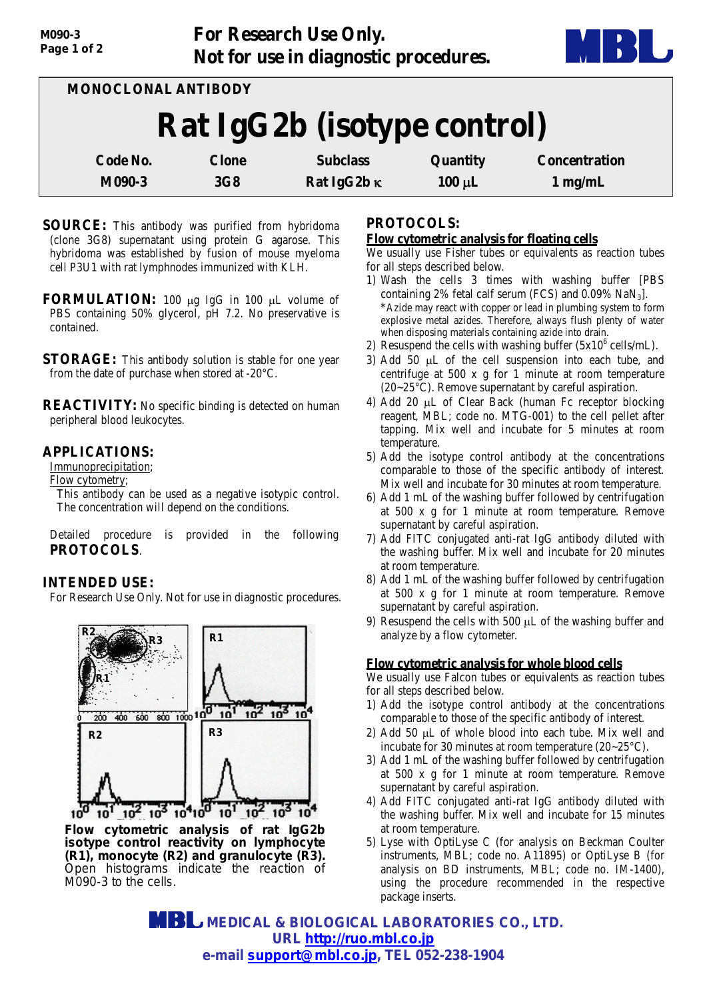**For Research Use Only. Not for use in diagnostic procedures.**



| MONOCLONAL ANTIBODY         |              |                    |             |                      |
|-----------------------------|--------------|--------------------|-------------|----------------------|
| Rat IgG2b (isotype control) |              |                    |             |                      |
| Code No.                    | <b>Clone</b> | <b>Subclass</b>    | Quantity    | <b>Concentration</b> |
| M090-3                      | 3G8          | Rat IgG2b $\kappa$ | $100 \mu L$ | $1$ mg/mL            |

- **SOURCE:** This antibody was purified from hybridoma (clone 3G8) supernatant using protein G agarose. This hybridoma was established by fusion of mouse myeloma cell P3U1 with rat lymphnodes immunized with KLH.
- **FORMULATION:** 100 µg IgG in 100 µL volume of PBS containing 50% glycerol, pH 7.2. No preservative is contained.
- **STORAGE:** This antibody solution is stable for one year from the date of purchase when stored at -20°C.

**REACTIVITY:** No specific binding is detected on human peripheral blood leukocytes.

# **APPLICATIONS:**

Immunoprecipitation;

Flow cytometry;

This antibody can be used as a negative isotypic control. The concentration will depend on the conditions.

Detailed procedure is provided in the following **PROTOCOLS**.

# **INTENDED USE:**

For Research Use Only. Not for use in diagnostic procedures.



*Flow cytometric analysis of rat IgG2b isotype control reactivity on lymphocyte (R1), monocyte (R2) and granulocyte (R3). Open histograms indicate the reaction of M090-3 to the cells.*

## **PROTOCOLS:**

#### **Flow cytometric analysis for floating cells**

We usually use Fisher tubes or equivalents as reaction tubes for all steps described below.

- 1) Wash the cells 3 times with washing buffer [PBS containing 2% fetal calf serum (FCS) and  $0.09\%$  NaN<sub>3</sub>]. \*Azide may react with copper or lead in plumbing system to form explosive metal azides. Therefore, always flush plenty of water when disposing materials containing azide into drain.
- 2) Resuspend the cells with washing buffer  $(5x10^6 \text{ cells/mL})$ .
- 3) Add 50 µL of the cell suspension into each tube, and centrifuge at 500 x g for 1 minute at room temperature (20~25°C). Remove supernatant by careful aspiration.
- 4) Add 20 µL of Clear Back (human Fc receptor blocking reagent, MBL; code no. MTG-001) to the cell pellet after tapping. Mix well and incubate for 5 minutes at room temperature.
- 5) Add the isotype control antibody at the concentrations comparable to those of the specific antibody of interest. Mix well and incubate for 30 minutes at room temperature.
- 6) Add 1 mL of the washing buffer followed by centrifugation at 500 x g for 1 minute at room temperature. Remove supernatant by careful aspiration.
- 7) Add FITC conjugated anti-rat IgG antibody diluted with the washing buffer. Mix well and incubate for 20 minutes at room temperature.
- 8) Add 1 mL of the washing buffer followed by centrifugation at 500 x g for 1 minute at room temperature. Remove supernatant by careful aspiration.
- 9) Resuspend the cells with 500 µL of the washing buffer and analyze by a flow cytometer.

# **Flow cytometric analysis for whole blood cells**

We usually use Falcon tubes or equivalents as reaction tubes for all steps described below.

- 1) Add the isotype control antibody at the concentrations comparable to those of the specific antibody of interest.
- 2) Add 50 µL of whole blood into each tube. Mix well and incubate for 30 minutes at room temperature (20~25°C).
- 3) Add 1 mL of the washing buffer followed by centrifugation at 500 x g for 1 minute at room temperature. Remove supernatant by careful aspiration.
- 4) Add FITC conjugated anti-rat IgG antibody diluted with the washing buffer. Mix well and incubate for 15 minutes at room temperature.
- 5) Lyse with OptiLyse C (for analysis on Beckman Coulter instruments, MBL; code no. A11895) or OptiLyse B (for analysis on BD instruments, MBL; code no. IM-1400), using the procedure recommended in the respective package inserts.

 **MEDICAL & BIOLOGICAL LABORATORIES CO., LTD. URL [http://ruo.mbl.co.jp](http://ruo.mbl.co.jp/) e-mail [support@mbl.co.jp,](mailto:support@mbl.co.jp) TEL 052-238-1904**